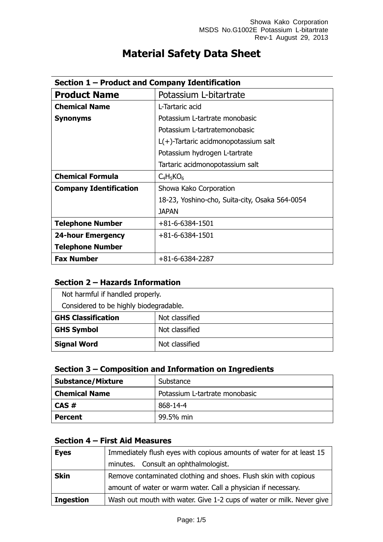| Section 1 – Product and Company Identification |                                                |  |
|------------------------------------------------|------------------------------------------------|--|
| <b>Product Name</b>                            | Potassium L-bitartrate                         |  |
| <b>Chemical Name</b>                           | L-Tartaric acid                                |  |
| <b>Synonyms</b>                                | Potassium L-tartrate monobasic                 |  |
|                                                | Potassium L-tartratemonobasic                  |  |
|                                                | $L(+)$ -Tartaric acidmonopotassium salt        |  |
|                                                | Potassium hydrogen L-tartrate                  |  |
|                                                | Tartaric acidmonopotassium salt                |  |
| <b>Chemical Formula</b>                        | $C_4H_5KO_6$                                   |  |
| <b>Company Identification</b>                  | Showa Kako Corporation                         |  |
|                                                | 18-23, Yoshino-cho, Suita-city, Osaka 564-0054 |  |
|                                                | <b>JAPAN</b>                                   |  |
| <b>Telephone Number</b>                        | $+81 - 6 - 6384 - 1501$                        |  |
| <b>24-hour Emergency</b>                       | $+81 - 6 - 6384 - 1501$                        |  |
| <b>Telephone Number</b>                        |                                                |  |
| <b>Fax Number</b>                              | $+81 - 6 - 6384 - 2287$                        |  |

# **Material Safety Data Sheet**

# **Section 2 – Hazards Information**

| Not harmful if handled properly.       |                |
|----------------------------------------|----------------|
| Considered to be highly biodegradable. |                |
| <b>GHS Classification</b>              | Not classified |
| <b>GHS Symbol</b>                      | Not classified |
| <b>Signal Word</b>                     | Not classified |

# **Section 3 – Composition and Information on Ingredients**

| <b>Substance/Mixture</b> | Substance                      |
|--------------------------|--------------------------------|
| <b>Chemical Name</b>     | Potassium L-tartrate monobasic |
| l CAS #                  | 868-14-4                       |
| <b>Percent</b>           | 99.5% min                      |

# **Section 4 – First Aid Measures**

| <b>Eyes</b>      | Immediately flush eyes with copious amounts of water for at least 15  |
|------------------|-----------------------------------------------------------------------|
|                  | minutes. Consult an ophthalmologist.                                  |
| <b>Skin</b>      | Remove contaminated clothing and shoes. Flush skin with copious       |
|                  | amount of water or warm water. Call a physician if necessary.         |
| <b>Ingestion</b> | Wash out mouth with water. Give 1-2 cups of water or milk. Never give |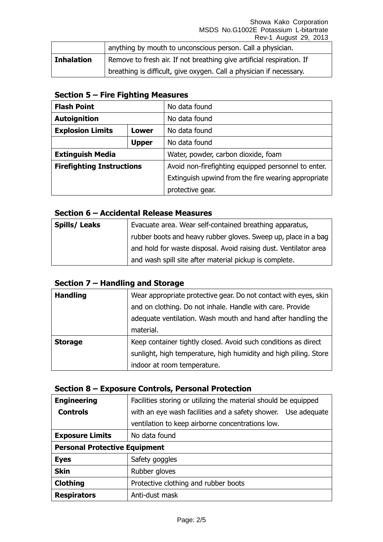Showa Kako Corporation MSDS No.G1002E Potassium L-bitartrate Rev-1 August 29, 2013

|                   | anything by mouth to unconscious person. Call a physician.            |
|-------------------|-----------------------------------------------------------------------|
| <b>Inhalation</b> | Remove to fresh air. If not breathing give artificial respiration. If |
|                   | breathing is difficult, give oxygen. Call a physician if necessary.   |

## **Section 5 – Fire Fighting Measures**

| <b>Flash Point</b>                      |              | No data found                                       |
|-----------------------------------------|--------------|-----------------------------------------------------|
| <b>Autoignition</b>                     |              | No data found                                       |
| <b>Explosion Limits</b><br><b>Lower</b> |              | No data found                                       |
|                                         | <b>Upper</b> | No data found                                       |
| <b>Extinguish Media</b>                 |              | Water, powder, carbon dioxide, foam                 |
| <b>Firefighting Instructions</b>        |              | Avoid non-firefighting equipped personnel to enter. |
|                                         |              | Extinguish upwind from the fire wearing appropriate |
|                                         |              | protective gear.                                    |

### **Section 6 – Accidental Release Measures**

| Spills/Leaks | Evacuate area. Wear self-contained breathing apparatus,          |
|--------------|------------------------------------------------------------------|
|              | rubber boots and heavy rubber gloves. Sweep up, place in a bag   |
|              | and hold for waste disposal. Avoid raising dust. Ventilator area |
|              | and wash spill site after material pickup is complete.           |

# **Section 7 – Handling and Storage**

| <b>Handling</b> | Wear appropriate protective gear. Do not contact with eyes, skin |
|-----------------|------------------------------------------------------------------|
|                 | and on clothing. Do not inhale. Handle with care. Provide        |
|                 | adequate ventilation. Wash mouth and hand after handling the     |
|                 | material.                                                        |
| <b>Storage</b>  | Keep container tightly closed. Avoid such conditions as direct   |
|                 | sunlight, high temperature, high humidity and high piling. Store |
|                 | indoor at room temperature.                                      |

## **Section 8 – Exposure Controls, Personal Protection**

| <b>Engineering</b>                   | Facilities storing or utilizing the material should be equipped |  |
|--------------------------------------|-----------------------------------------------------------------|--|
| <b>Controls</b>                      | with an eye wash facilities and a safety shower. Use adequate   |  |
|                                      | ventilation to keep airborne concentrations low.                |  |
| <b>Exposure Limits</b>               | No data found                                                   |  |
| <b>Personal Protective Equipment</b> |                                                                 |  |
| <b>Eyes</b>                          | Safety goggles                                                  |  |
| <b>Skin</b>                          | Rubber gloves                                                   |  |
| <b>Clothing</b>                      | Protective clothing and rubber boots                            |  |
| <b>Respirators</b>                   | Anti-dust mask                                                  |  |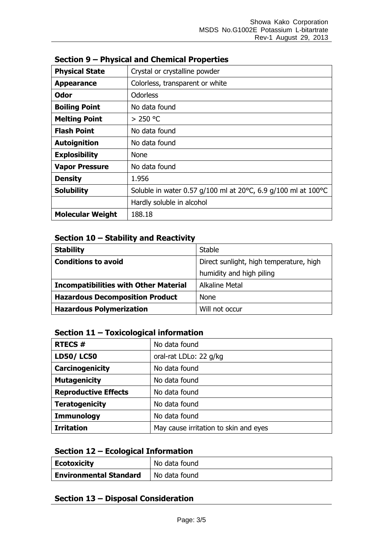| <b>Physical State</b>   | Crystal or crystalline powder                                 |  |
|-------------------------|---------------------------------------------------------------|--|
| <b>Appearance</b>       | Colorless, transparent or white                               |  |
| <b>Odor</b>             | <b>Odorless</b>                                               |  |
| <b>Boiling Point</b>    | No data found                                                 |  |
| <b>Melting Point</b>    | $> 250$ °C                                                    |  |
| <b>Flash Point</b>      | No data found                                                 |  |
| <b>Autoignition</b>     | No data found                                                 |  |
| <b>Explosibility</b>    | <b>None</b>                                                   |  |
| <b>Vapor Pressure</b>   | No data found                                                 |  |
| <b>Density</b>          | 1.956                                                         |  |
| <b>Solubility</b>       | Soluble in water 0.57 g/100 ml at 20°C, 6.9 g/100 ml at 100°C |  |
|                         | Hardly soluble in alcohol                                     |  |
| <b>Molecular Weight</b> | 188.18                                                        |  |

#### **Section 9 – Physical and Chemical Properties**

# **Section 10 – Stability and Reactivity**

| <b>Stability</b>                             | <b>Stable</b>                           |
|----------------------------------------------|-----------------------------------------|
| <b>Conditions to avoid</b>                   | Direct sunlight, high temperature, high |
|                                              | humidity and high piling                |
| <b>Incompatibilities with Other Material</b> | <b>Alkaline Metal</b>                   |
| <b>Hazardous Decomposition Product</b>       | <b>None</b>                             |
| <b>Hazardous Polymerization</b>              | Will not occur                          |

## **Section 11 – Toxicological information**

| <b>RTECS#</b>               | No data found                         |
|-----------------------------|---------------------------------------|
| <b>LD50/LC50</b>            | oral-rat LDLo: 22 g/kg                |
| <b>Carcinogenicity</b>      | No data found                         |
| <b>Mutagenicity</b>         | No data found                         |
| <b>Reproductive Effects</b> | No data found                         |
| <b>Teratogenicity</b>       | No data found                         |
| <b>Immunology</b>           | No data found                         |
| <b>Irritation</b>           | May cause irritation to skin and eyes |

# **Section 12 – Ecological Information**

| Ecotoxicity                   | No data found |
|-------------------------------|---------------|
| <b>Environmental Standard</b> | No data found |

## **Section 13 – Disposal Consideration**